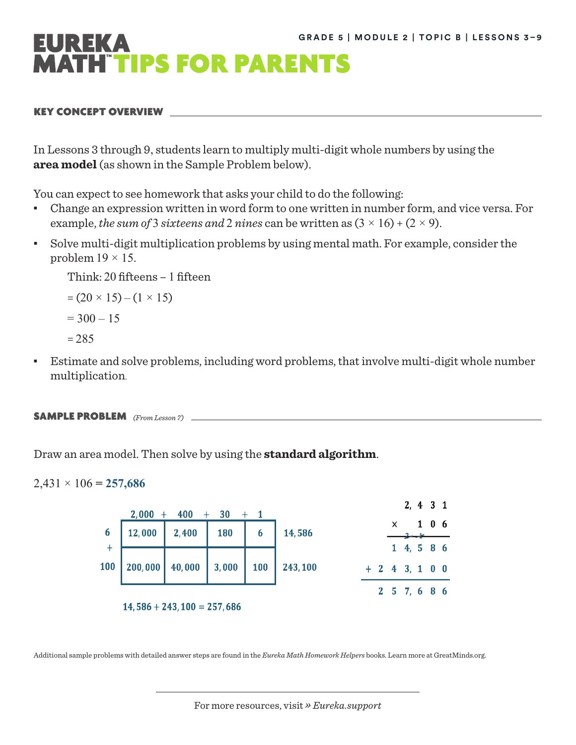

# KEY CONCEPT OVERVIEW

In Lessons 3 through 9, students learn to multiply multi-digit whole numbers by using the **area model** (as shown in the Sample Problem below).

You can expect to see homework that asks your child to do the following:

- Change an expression written in word form to one written in number form, and vice versa. For example, the sum of 3 sixteens and 2 nines can be written as  $(3 \times 16) + (2 \times 9)$ .
- Solve multi-digit multiplication problems by using mental math. For example, consider the problem  $19 \times 15$ .

Think: 20 fifteens – 1 fifteen

```
= (20 \times 15) - (1 \times 15)= 300 - 15= 285
```
▪ Estimate and solve problems, including word problems, that involve multi-digit whole number multiplication.

```
SAMPLE PROBLEM (From Lesson 7)
```
Draw an area model. Then solve by using the **standard algorithm**.

# $2,431 \times 106 = 257,686$



Additional sample problems with detailed answer steps are found in the *Eureka Math Homework Helpers* books. Learn more at [GreatMinds.org](http://GreatMinds.org).